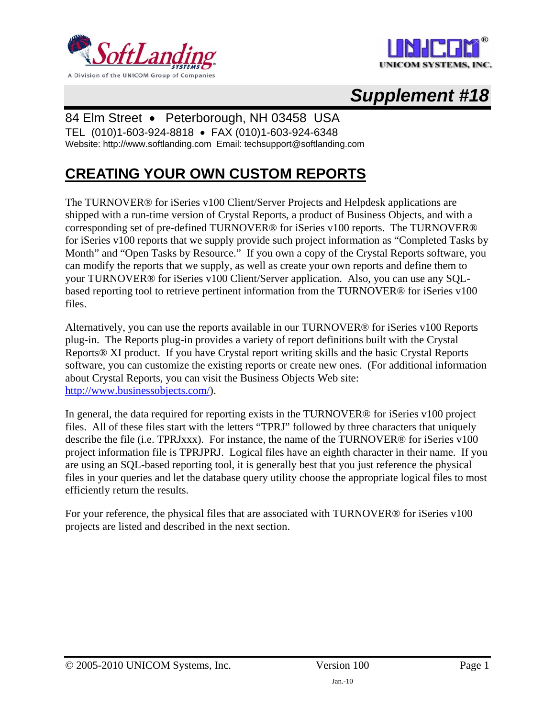



# *Supplement #18*

#### 84 Elm Street • Peterborough, NH 03458 USA

TEL (010)1-603-924-8818 • FAX (010)1-603-924-6348 Website: http://www.softlanding.com Email: techsupport@softlanding.com

### **CREATING YOUR OWN CUSTOM REPORTS**

The TURNOVER® for iSeries v100 Client/Server Projects and Helpdesk applications are shipped with a run-time version of Crystal Reports, a product of Business Objects, and with a corresponding set of pre-defined TURNOVER® for iSeries v100 reports. The TURNOVER® for iSeries v100 reports that we supply provide such project information as "Completed Tasks by Month" and "Open Tasks by Resource." If you own a copy of the Crystal Reports software, you can modify the reports that we supply, as well as create your own reports and define them to your TURNOVER® for iSeries v100 Client/Server application. Also, you can use any SQLbased reporting tool to retrieve pertinent information from the TURNOVER® for iSeries v100 files.

Alternatively, you can use the reports available in our TURNOVER® for iSeries v100 Reports plug-in. The Reports plug-in provides a variety of report definitions built with the Crystal Reports® XI product. If you have Crystal report writing skills and the basic Crystal Reports software, you can customize the existing reports or create new ones. (For additional information about Crystal Reports, you can visit the Business Objects Web site: <http://www.businessobjects.com/>).

In general, the data required for reporting exists in the TURNOVER® for iSeries v100 project files. All of these files start with the letters "TPRJ" followed by three characters that uniquely describe the file (i.e. TPRJxxx). For instance, the name of the TURNOVER® for iSeries v100 project information file is TPRJPRJ. Logical files have an eighth character in their name. If you are using an SQL-based reporting tool, it is generally best that you just reference the physical files in your queries and let the database query utility choose the appropriate logical files to most efficiently return the results.

For your reference, the physical files that are associated with TURNOVER® for iSeries v100 projects are listed and described in the next section.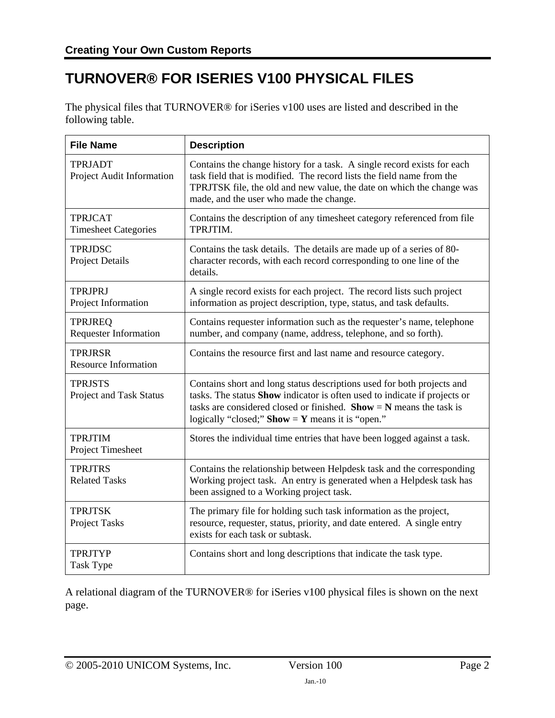## **TURNOVER® FOR ISERIES V100 PHYSICAL FILES**

The physical files that TURNOVER® for iSeries v100 uses are listed and described in the following table.

| <b>File Name</b>                               | <b>Description</b>                                                                                                                                                                                                                                                                             |
|------------------------------------------------|------------------------------------------------------------------------------------------------------------------------------------------------------------------------------------------------------------------------------------------------------------------------------------------------|
| <b>TPRJADT</b><br>Project Audit Information    | Contains the change history for a task. A single record exists for each<br>task field that is modified. The record lists the field name from the<br>TPRJTSK file, the old and new value, the date on which the change was<br>made, and the user who made the change.                           |
| <b>TPRJCAT</b><br><b>Timesheet Categories</b>  | Contains the description of any timesheet category referenced from file<br>TPRJTIM.                                                                                                                                                                                                            |
| <b>TPRJDSC</b><br><b>Project Details</b>       | Contains the task details. The details are made up of a series of 80-<br>character records, with each record corresponding to one line of the<br>details.                                                                                                                                      |
| <b>TPRJPRJ</b><br>Project Information          | A single record exists for each project. The record lists such project<br>information as project description, type, status, and task defaults.                                                                                                                                                 |
| <b>TPRJREQ</b><br><b>Requester Information</b> | Contains requester information such as the requester's name, telephone<br>number, and company (name, address, telephone, and so forth).                                                                                                                                                        |
| <b>TPRJRSR</b><br><b>Resource Information</b>  | Contains the resource first and last name and resource category.                                                                                                                                                                                                                               |
| <b>TPRJSTS</b><br>Project and Task Status      | Contains short and long status descriptions used for both projects and<br>tasks. The status Show indicator is often used to indicate if projects or<br>tasks are considered closed or finished. Show $= N$ means the task is<br>logically "closed;" <b>Show</b> = <b>Y</b> means it is "open." |
| <b>TPRJTIM</b><br>Project Timesheet            | Stores the individual time entries that have been logged against a task.                                                                                                                                                                                                                       |
| <b>TPRJTRS</b><br><b>Related Tasks</b>         | Contains the relationship between Helpdesk task and the corresponding<br>Working project task. An entry is generated when a Helpdesk task has<br>been assigned to a Working project task.                                                                                                      |
| <b>TPRJTSK</b><br><b>Project Tasks</b>         | The primary file for holding such task information as the project,<br>resource, requester, status, priority, and date entered. A single entry<br>exists for each task or subtask.                                                                                                              |
| <b>TPRJTYP</b><br><b>Task Type</b>             | Contains short and long descriptions that indicate the task type.                                                                                                                                                                                                                              |

A relational diagram of the TURNOVER® for iSeries v100 physical files is shown on the next page.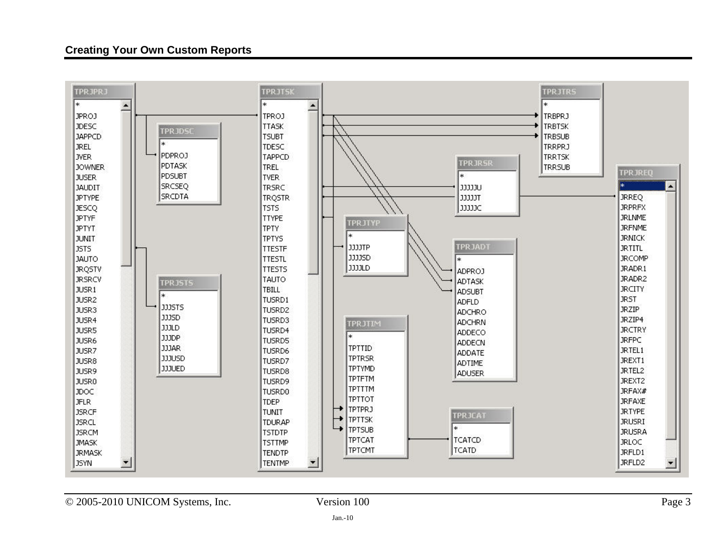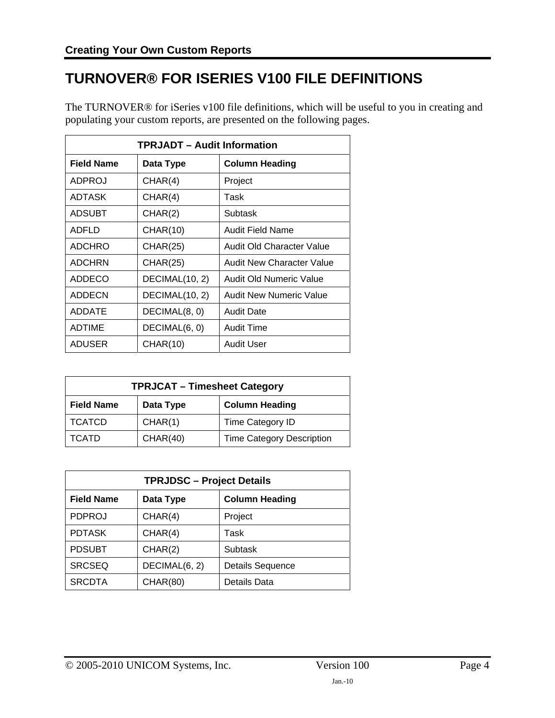### **TURNOVER® FOR ISERIES V100 FILE DEFINITIONS**

The TURNOVER® for iSeries v100 file definitions, which will be useful to you in creating and populating your custom reports, are presented on the following pages.

| <b>TPRJADT - Audit Information</b> |                 |                           |
|------------------------------------|-----------------|---------------------------|
| <b>Field Name</b>                  | Data Type       | <b>Column Heading</b>     |
| ADPROJ                             | CHAR(4)         | Project                   |
| ADTASK                             | CHAR(4)         | Task                      |
| <b>ADSUBT</b>                      | CHAR(2)         | Subtask                   |
| <b>ADFLD</b>                       | <b>CHAR(10)</b> | Audit Field Name          |
| <b>ADCHRO</b>                      | <b>CHAR(25)</b> | Audit Old Character Value |
| <b>ADCHRN</b>                      | <b>CHAR(25)</b> | Audit New Character Value |
| ADDECO                             | DECIMAL(10, 2)  | Audit Old Numeric Value   |
| <b>ADDECN</b>                      | DECIMAL(10, 2)  | Audit New Numeric Value   |
| <b>ADDATE</b>                      | DECIMAL(8, 0)   | <b>Audit Date</b>         |
| <b>ADTIME</b>                      | DECIMAL(6, 0)   | <b>Audit Time</b>         |
| ADUSER                             | <b>CHAR(10)</b> | Audit User                |

| <b>TPRJCAT - Timesheet Category</b>                     |          |                                  |
|---------------------------------------------------------|----------|----------------------------------|
| <b>Column Heading</b><br><b>Field Name</b><br>Data Type |          |                                  |
| <b>TCATCD</b>                                           | CHAR(1)  | Time Category ID                 |
| TCATD                                                   | CHAR(40) | <b>Time Category Description</b> |

| <b>TPRJDSC - Project Details</b> |               |                         |  |
|----------------------------------|---------------|-------------------------|--|
| <b>Field Name</b>                | Data Type     | <b>Column Heading</b>   |  |
| <b>PDPROJ</b>                    | CHAR(4)       | Project                 |  |
| <b>PDTASK</b>                    | CHAR(4)       | Task                    |  |
| <b>PDSUBT</b>                    | CHAR(2)       | <b>Subtask</b>          |  |
| <b>SRCSEQ</b>                    | DECIMAL(6, 2) | <b>Details Sequence</b> |  |
| <b>SRCDTA</b>                    | CHAR(80)      | Details Data            |  |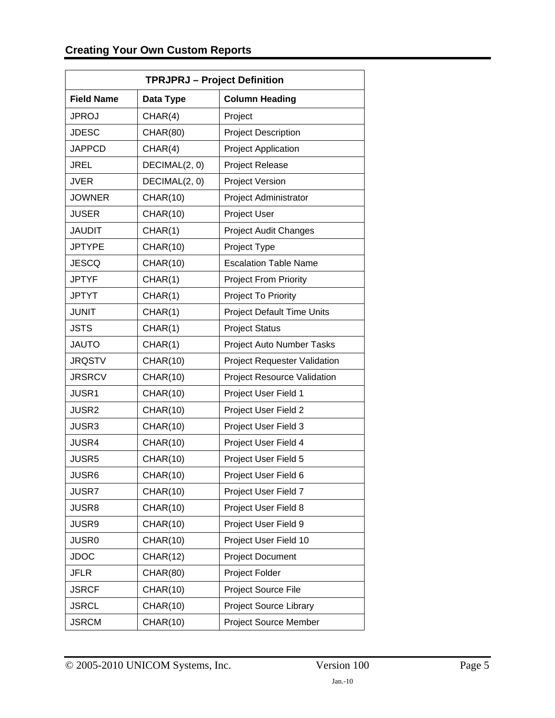| <b>TPRJPRJ - Project Definition</b> |                 |                                     |
|-------------------------------------|-----------------|-------------------------------------|
| <b>Field Name</b>                   | Data Type       | <b>Column Heading</b>               |
| JPROJ                               | CHAR(4)         | Project                             |
| <b>JDESC</b>                        | <b>CHAR(80)</b> | <b>Project Description</b>          |
| <b>JAPPCD</b>                       | CHAR(4)         | <b>Project Application</b>          |
| <b>JREL</b>                         | DECIMAL(2, 0)   | <b>Project Release</b>              |
| JVER                                | DECIMAL(2, 0)   | <b>Project Version</b>              |
| <b>JOWNER</b>                       | <b>CHAR(10)</b> | Project Administrator               |
| <b>JUSER</b>                        | <b>CHAR(10)</b> | Project User                        |
| <b>JAUDIT</b>                       | CHAR(1)         | <b>Project Audit Changes</b>        |
| <b>JPTYPE</b>                       | <b>CHAR(10)</b> | Project Type                        |
| <b>JESCQ</b>                        | <b>CHAR(10)</b> | <b>Escalation Table Name</b>        |
| <b>JPTYF</b>                        | CHAR(1)         | <b>Project From Priority</b>        |
| <b>JPTYT</b>                        | CHAR(1)         | Project To Priority                 |
| JUNIT                               | CHAR(1)         | <b>Project Default Time Units</b>   |
| <b>JSTS</b>                         | CHAR(1)         | <b>Project Status</b>               |
| <b>JAUTO</b>                        | CHAR(1)         | Project Auto Number Tasks           |
| <b>JRQSTV</b>                       | <b>CHAR(10)</b> | <b>Project Requester Validation</b> |
| <b>JRSRCV</b>                       | <b>CHAR(10)</b> | <b>Project Resource Validation</b>  |
| <b>JUSR1</b>                        | <b>CHAR(10)</b> | Project User Field 1                |
| <b>JUSR2</b>                        | <b>CHAR(10)</b> | Project User Field 2                |
| JUSR3                               | <b>CHAR(10)</b> | Project User Field 3                |
| JUSR4                               | <b>CHAR(10)</b> | Project User Field 4                |
| <b>JUSR5</b>                        | <b>CHAR(10)</b> | Project User Field 5                |
| <b>JUSR6</b>                        | <b>CHAR(10)</b> | Project User Field 6                |
| <b>JUSR7</b>                        | <b>CHAR(10)</b> | Project User Field 7                |
| <b>JUSR8</b>                        | <b>CHAR(10)</b> | Project User Field 8                |
| <b>JUSR9</b>                        | <b>CHAR(10)</b> | Project User Field 9                |
| <b>JUSR0</b>                        | <b>CHAR(10)</b> | Project User Field 10               |
| <b>JDOC</b>                         | CHAR(12)        | <b>Project Document</b>             |
| <b>JFLR</b>                         | <b>CHAR(80)</b> | Project Folder                      |
| <b>JSRCF</b>                        | <b>CHAR(10)</b> | Project Source File                 |
| <b>JSRCL</b>                        | <b>CHAR(10)</b> | <b>Project Source Library</b>       |
| <b>JSRCM</b>                        | <b>CHAR(10)</b> | Project Source Member               |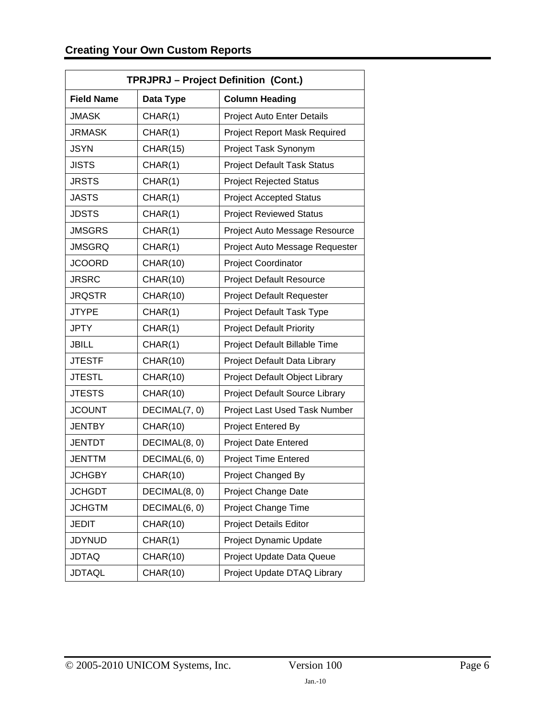| TPRJPRJ - Project Definition (Cont.) |                 |                                     |
|--------------------------------------|-----------------|-------------------------------------|
| <b>Field Name</b>                    | Data Type       | <b>Column Heading</b>               |
| <b>JMASK</b>                         | CHAR(1)         | Project Auto Enter Details          |
| <b>JRMASK</b>                        | CHAR(1)         | <b>Project Report Mask Required</b> |
| <b>JSYN</b>                          | <b>CHAR(15)</b> | Project Task Synonym                |
| <b>JISTS</b>                         | CHAR(1)         | <b>Project Default Task Status</b>  |
| <b>JRSTS</b>                         | CHAR(1)         | <b>Project Rejected Status</b>      |
| <b>JASTS</b>                         | CHAR(1)         | <b>Project Accepted Status</b>      |
| <b>JDSTS</b>                         | CHAR(1)         | <b>Project Reviewed Status</b>      |
| <b>JMSGRS</b>                        | CHAR(1)         | Project Auto Message Resource       |
| <b>JMSGRQ</b>                        | CHAR(1)         | Project Auto Message Requester      |
| <b>JCOORD</b>                        | <b>CHAR(10)</b> | Project Coordinator                 |
| <b>JRSRC</b>                         | <b>CHAR(10)</b> | <b>Project Default Resource</b>     |
| <b>JRQSTR</b>                        | <b>CHAR(10)</b> | <b>Project Default Requester</b>    |
| <b>JTYPE</b>                         | CHAR(1)         | Project Default Task Type           |
| <b>JPTY</b>                          | CHAR(1)         | <b>Project Default Priority</b>     |
| <b>JBILL</b>                         | CHAR(1)         | Project Default Billable Time       |
| <b>JTESTF</b>                        | <b>CHAR(10)</b> | Project Default Data Library        |
| <b>JTESTL</b>                        | <b>CHAR(10)</b> | Project Default Object Library      |
| <b>JTESTS</b>                        | <b>CHAR(10)</b> | Project Default Source Library      |
| <b>JCOUNT</b>                        | DECIMAL(7, 0)   | Project Last Used Task Number       |
| <b>JENTBY</b>                        | <b>CHAR(10)</b> | Project Entered By                  |
| <b>JENTDT</b>                        | DECIMAL(8, 0)   | <b>Project Date Entered</b>         |
| <b>JENTTM</b>                        | DECIMAL(6, 0)   | Project Time Entered                |
| <b>JCHGBY</b>                        | CHAR(10)        | Project Changed By                  |
| <b>JCHGDT</b>                        | DECIMAL(8, 0)   | Project Change Date                 |
| <b>JCHGTM</b>                        | DECIMAL(6, 0)   | <b>Project Change Time</b>          |
| <b>JEDIT</b>                         | <b>CHAR(10)</b> | <b>Project Details Editor</b>       |
| <b>JDYNUD</b>                        | CHAR(1)         | Project Dynamic Update              |
| <b>JDTAQ</b>                         | <b>CHAR(10)</b> | Project Update Data Queue           |
| <b>JDTAQL</b>                        | <b>CHAR(10)</b> | Project Update DTAQ Library         |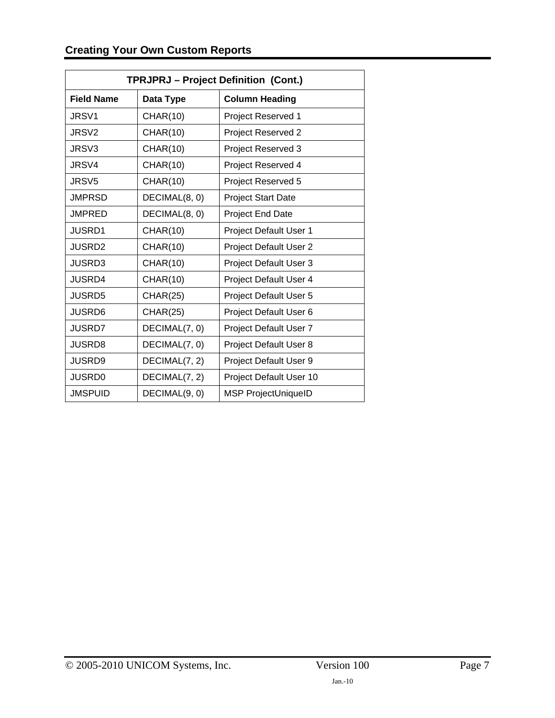| TPRJPRJ - Project Definition (Cont.) |                 |                            |
|--------------------------------------|-----------------|----------------------------|
| <b>Field Name</b>                    | Data Type       | <b>Column Heading</b>      |
| JRSV1                                | <b>CHAR(10)</b> | Project Reserved 1         |
| JRSV <sub>2</sub>                    | <b>CHAR(10)</b> | Project Reserved 2         |
| JRSV3                                | <b>CHAR(10)</b> | Project Reserved 3         |
| JRSV4                                | <b>CHAR(10)</b> | Project Reserved 4         |
| JRSV <sub>5</sub>                    | <b>CHAR(10)</b> | Project Reserved 5         |
| <b>JMPRSD</b>                        | DECIMAL(8, 0)   | <b>Project Start Date</b>  |
| <b>JMPRED</b>                        | DECIMAL(8, 0)   | Project End Date           |
| <b>JUSRD1</b>                        | <b>CHAR(10)</b> | Project Default User 1     |
| <b>JUSRD2</b>                        | <b>CHAR(10)</b> | Project Default User 2     |
| <b>JUSRD3</b>                        | <b>CHAR(10)</b> | Project Default User 3     |
| <b>JUSRD4</b>                        | <b>CHAR(10)</b> | Project Default User 4     |
| <b>JUSRD5</b>                        | <b>CHAR(25)</b> | Project Default User 5     |
| <b>JUSRD6</b>                        | <b>CHAR(25)</b> | Project Default User 6     |
| <b>JUSRD7</b>                        | DECIMAL(7, 0)   | Project Default User 7     |
| <b>JUSRD8</b>                        | DECIMAL(7, 0)   | Project Default User 8     |
| <b>JUSRD9</b>                        | DECIMAL(7, 2)   | Project Default User 9     |
| <b>JUSRD0</b>                        | DECIMAL(7, 2)   | Project Default User 10    |
| <b>JMSPUID</b>                       | DECIMAL(9, 0)   | <b>MSP ProjectUniqueID</b> |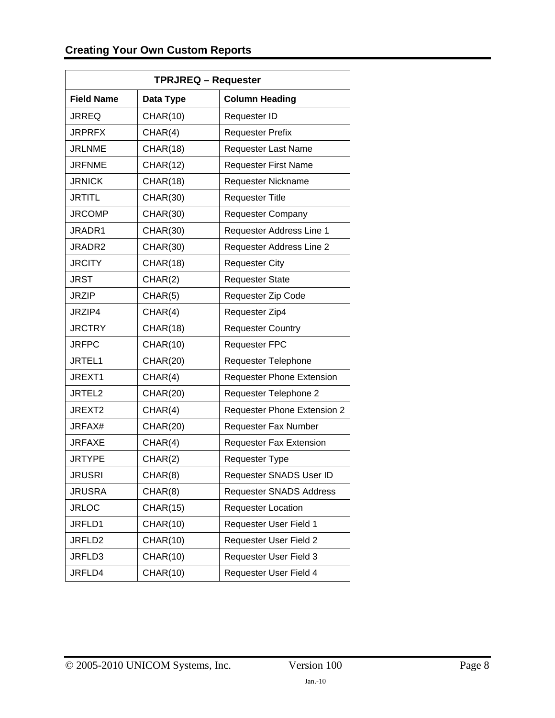| <b>TPRJREQ - Requester</b> |                 |                                    |
|----------------------------|-----------------|------------------------------------|
| <b>Field Name</b>          | Data Type       | <b>Column Heading</b>              |
| JRREQ                      | <b>CHAR(10)</b> | Requester ID                       |
| <b>JRPRFX</b>              | CHAR(4)         | <b>Requester Prefix</b>            |
| <b>JRLNME</b>              | CHAR(18)        | Requester Last Name                |
| <b>JRFNME</b>              | <b>CHAR(12)</b> | <b>Requester First Name</b>        |
| <b>JRNICK</b>              | CHAR(18)        | Requester Nickname                 |
| <b>JRTITL</b>              | <b>CHAR(30)</b> | <b>Requester Title</b>             |
| <b>JRCOMP</b>              | <b>CHAR(30)</b> | <b>Requester Company</b>           |
| JRADR1                     | <b>CHAR(30)</b> | Requester Address Line 1           |
| JRADR2                     | <b>CHAR(30)</b> | Requester Address Line 2           |
| <b>JRCITY</b>              | CHAR(18)        | <b>Requester City</b>              |
| <b>JRST</b>                | CHAR(2)         | <b>Requester State</b>             |
| <b>JRZIP</b>               | CHAR(5)         | Requester Zip Code                 |
| JRZIP4                     | CHAR(4)         | Requester Zip4                     |
| <b>JRCTRY</b>              | CHAR(18)        | <b>Requester Country</b>           |
| <b>JRFPC</b>               | <b>CHAR(10)</b> | <b>Requester FPC</b>               |
| <b>JRTEL1</b>              | <b>CHAR(20)</b> | Requester Telephone                |
| JREXT1                     | CHAR(4)         | <b>Requester Phone Extension</b>   |
| JRTEL2                     | <b>CHAR(20)</b> | Requester Telephone 2              |
| JREXT2                     | CHAR(4)         | <b>Requester Phone Extension 2</b> |
| JRFAX#                     | <b>CHAR(20)</b> | Requester Fax Number               |
| <b>JRFAXE</b>              | CHAR(4)         | <b>Requester Fax Extension</b>     |
| <b>JRTYPE</b>              | CHAR(2)         | Requester Type                     |
| <b>JRUSRI</b>              | CHAR(8)         | Requester SNADS User ID            |
| <b>JRUSRA</b>              | CHAR(8)         | <b>Requester SNADS Address</b>     |
| <b>JRLOC</b>               | CHAR(15)        | <b>Requester Location</b>          |
| JRFLD1                     | <b>CHAR(10)</b> | Requester User Field 1             |
| JRFLD2                     | <b>CHAR(10)</b> | Requester User Field 2             |
| JRFLD3                     | <b>CHAR(10)</b> | Requester User Field 3             |
| JRFLD4                     | <b>CHAR(10)</b> | Requester User Field 4             |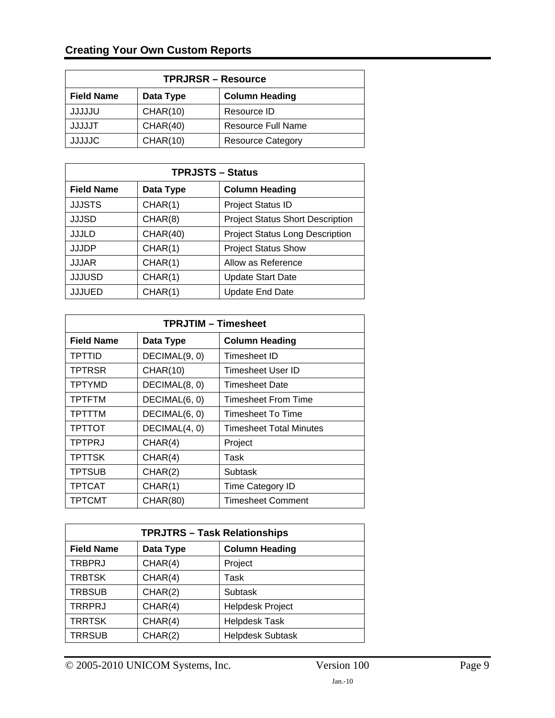| <b>TPRJRSR-Resource</b>                                 |          |                          |
|---------------------------------------------------------|----------|--------------------------|
| <b>Column Heading</b><br><b>Field Name</b><br>Data Type |          |                          |
| ULLLLL                                                  | CHAR(10) | Resource ID              |
| <b>TLLLLL</b>                                           | CHAR(40) | Resource Full Name       |
| <b>JJJJJC</b>                                           | CHAR(10) | <b>Resource Category</b> |

| <b>TPRJSTS - Status</b> |           |                                         |
|-------------------------|-----------|-----------------------------------------|
| <b>Field Name</b>       | Data Type | <b>Column Heading</b>                   |
| <b>JJJSTS</b>           | CHAR(1)   | <b>Project Status ID</b>                |
| <b>JJJSD</b>            | CHAR(8)   | <b>Project Status Short Description</b> |
| <b>JJJLD</b>            | CHAR(40)  | <b>Project Status Long Description</b>  |
| <b>JJJDP</b>            | CHAR(1)   | <b>Project Status Show</b>              |
| <b>JJJAR</b>            | CHAR(1)   | Allow as Reference                      |
| <b>JJJUSD</b>           | CHAR(1)   | <b>Update Start Date</b>                |
| <b>JJJUED</b>           | CHAR(1)   | <b>Update End Date</b>                  |

| <b>TPRJTIM - Timesheet</b> |                 |                                |
|----------------------------|-----------------|--------------------------------|
| <b>Field Name</b>          | Data Type       | <b>Column Heading</b>          |
| <b>TPTTID</b>              | DECIMAL(9, 0)   | Timesheet ID                   |
| <b>TPTRSR</b>              | <b>CHAR(10)</b> | Timesheet User ID              |
| <b>TPTYMD</b>              | DECIMAL(8, 0)   | Timesheet Date                 |
| <b>TPTFTM</b>              | DECIMAL(6, 0)   | Timesheet From Time            |
| <b>TPTTTM</b>              | DECIMAL(6, 0)   | Timesheet To Time              |
| <b>TPTTOT</b>              | DECIMAL(4, 0)   | <b>Timesheet Total Minutes</b> |
| <b>TPTPRJ</b>              | CHAR(4)         | Project                        |
| <b>TPTTSK</b>              | CHAR(4)         | Task                           |
| <b>TPTSUB</b>              | CHAR(2)         | Subtask                        |
| <b>TPTCAT</b>              | CHAR(1)         | Time Category ID               |
| <b>TPTCMT</b>              | <b>CHAR(80)</b> | <b>Timesheet Comment</b>       |

| <b>TPRJTRS - Task Relationships</b> |           |                         |
|-------------------------------------|-----------|-------------------------|
| <b>Field Name</b>                   | Data Type | <b>Column Heading</b>   |
| <b>TRBPRJ</b>                       | CHAR(4)   | Project                 |
| <b>TRBTSK</b>                       | CHAR(4)   | Task                    |
| <b>TRBSUB</b>                       | CHAR(2)   | Subtask                 |
| <b>TRRPRJ</b>                       | CHAR(4)   | <b>Helpdesk Project</b> |
| <b>TRRTSK</b>                       | CHAR(4)   | <b>Helpdesk Task</b>    |
| <b>TRRSUB</b>                       | CHAR(2)   | <b>Helpdesk Subtask</b> |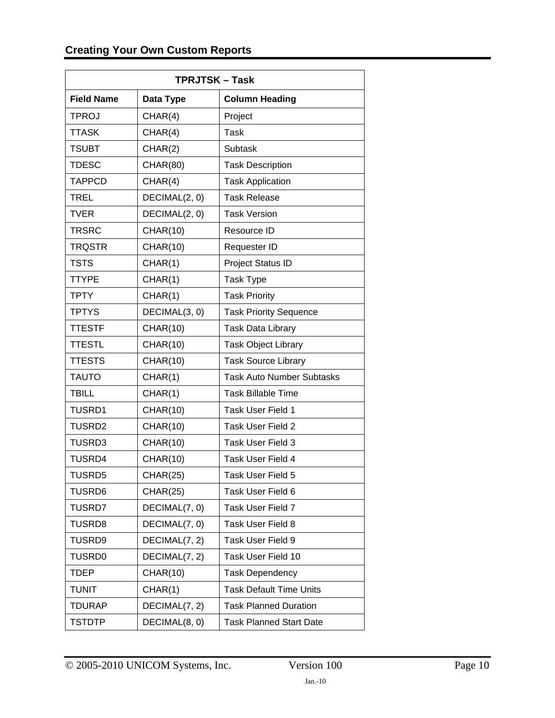| <b>TPRJTSK – Task</b> |                 |                                  |
|-----------------------|-----------------|----------------------------------|
| <b>Field Name</b>     | Data Type       | <b>Column Heading</b>            |
| <b>TPROJ</b>          | CHAR(4)         | Project                          |
| <b>TTASK</b>          | CHAR(4)         | <b>Task</b>                      |
| <b>TSUBT</b>          | CHAR(2)         | Subtask                          |
| <b>TDESC</b>          | <b>CHAR(80)</b> | <b>Task Description</b>          |
| <b>TAPPCD</b>         | CHAR(4)         | <b>Task Application</b>          |
| <b>TREL</b>           | DECIMAL(2, 0)   | <b>Task Release</b>              |
| <b>TVER</b>           | DECIMAL(2, 0)   | <b>Task Version</b>              |
| <b>TRSRC</b>          | <b>CHAR(10)</b> | Resource ID                      |
| <b>TRQSTR</b>         | <b>CHAR(10)</b> | Requester ID                     |
| <b>TSTS</b>           | CHAR(1)         | Project Status ID                |
| <b>TTYPE</b>          | CHAR(1)         | Task Type                        |
| <b>TPTY</b>           | CHAR(1)         | <b>Task Priority</b>             |
| <b>TPTYS</b>          | DECIMAL(3, 0)   | <b>Task Priority Sequence</b>    |
| <b>TTESTF</b>         | <b>CHAR(10)</b> | <b>Task Data Library</b>         |
| <b>TTESTL</b>         | <b>CHAR(10)</b> | <b>Task Object Library</b>       |
| <b>TTESTS</b>         | <b>CHAR(10)</b> | <b>Task Source Library</b>       |
| <b>TAUTO</b>          | CHAR(1)         | <b>Task Auto Number Subtasks</b> |
| <b>TBILL</b>          | CHAR(1)         | <b>Task Billable Time</b>        |
| <b>TUSRD1</b>         | <b>CHAR(10)</b> | Task User Field 1                |
| TUSRD2                | <b>CHAR(10)</b> | Task User Field 2                |
| TUSRD3                | <b>CHAR(10)</b> | Task User Field 3                |
| TUSRD4                | <b>CHAR(10)</b> | Task User Field 4                |
| <b>TUSRD5</b>         | <b>CHAR(25)</b> | Task User Field 5                |
| <b>TUSRD6</b>         | <b>CHAR(25)</b> | Task User Field 6                |
| <b>TUSRD7</b>         | DECIMAL(7, 0)   | Task User Field 7                |
| <b>TUSRD8</b>         | DECIMAL(7, 0)   | Task User Field 8                |
| TUSRD9                | DECIMAL(7, 2)   | Task User Field 9                |
| <b>TUSRD0</b>         | DECIMAL(7, 2)   | Task User Field 10               |
| <b>TDEP</b>           | <b>CHAR(10)</b> | <b>Task Dependency</b>           |
| <b>TUNIT</b>          | CHAR(1)         | <b>Task Default Time Units</b>   |
| <b>TDURAP</b>         | DECIMAL(7, 2)   | <b>Task Planned Duration</b>     |
| <b>TSTDTP</b>         | DECIMAL(8, 0)   | <b>Task Planned Start Date</b>   |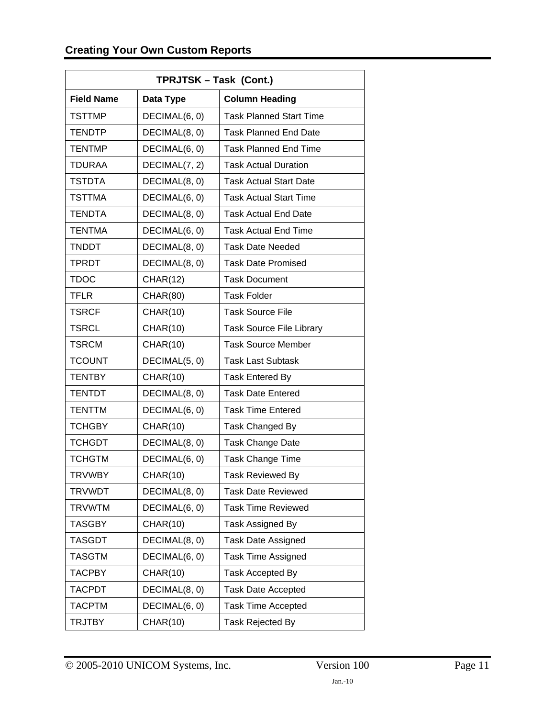| TPRJTSK - Task (Cont.) |                 |                                 |
|------------------------|-----------------|---------------------------------|
| <b>Field Name</b>      | Data Type       | <b>Column Heading</b>           |
| <b>TSTTMP</b>          | DECIMAL(6, 0)   | <b>Task Planned Start Time</b>  |
| <b>TENDTP</b>          | DECIMAL(8, 0)   | <b>Task Planned End Date</b>    |
| <b>TENTMP</b>          | DECIMAL(6, 0)   | <b>Task Planned End Time</b>    |
| <b>TDURAA</b>          | DECIMAL(7, 2)   | <b>Task Actual Duration</b>     |
| <b>TSTDTA</b>          | DECIMAL(8, 0)   | <b>Task Actual Start Date</b>   |
| <b>TSTTMA</b>          | DECIMAL(6, 0)   | <b>Task Actual Start Time</b>   |
| <b>TENDTA</b>          | DECIMAL(8, 0)   | <b>Task Actual End Date</b>     |
| <b>TENTMA</b>          | DECIMAL(6, 0)   | <b>Task Actual End Time</b>     |
| <b>TNDDT</b>           | DECIMAL(8, 0)   | <b>Task Date Needed</b>         |
| <b>TPRDT</b>           | DECIMAL(8, 0)   | <b>Task Date Promised</b>       |
| <b>TDOC</b>            | CHAR(12)        | <b>Task Document</b>            |
| <b>TFLR</b>            | <b>CHAR(80)</b> | <b>Task Folder</b>              |
| <b>TSRCF</b>           | <b>CHAR(10)</b> | <b>Task Source File</b>         |
| <b>TSRCL</b>           | CHAR(10)        | <b>Task Source File Library</b> |
| <b>TSRCM</b>           | <b>CHAR(10)</b> | <b>Task Source Member</b>       |
| <b>TCOUNT</b>          | DECIMAL(5, 0)   | <b>Task Last Subtask</b>        |
| <b>TENTBY</b>          | <b>CHAR(10)</b> | <b>Task Entered By</b>          |
| <b>TENTDT</b>          | DECIMAL(8, 0)   | <b>Task Date Entered</b>        |
| <b>TENTTM</b>          | DECIMAL(6, 0)   | <b>Task Time Entered</b>        |
| <b>TCHGBY</b>          | <b>CHAR(10)</b> | Task Changed By                 |
| <b>TCHGDT</b>          | DECIMAL(8, 0)   | <b>Task Change Date</b>         |
| <b>TCHGTM</b>          | DECIMAL(6, 0)   | Task Change Time                |
| <b>TRVWBY</b>          | CHAR(10)        | Task Reviewed By                |
| <b>TRVWDT</b>          | DECIMAL(8, 0)   | <b>Task Date Reviewed</b>       |
| <b>TRVWTM</b>          | DECIMAL(6, 0)   | <b>Task Time Reviewed</b>       |
| <b>TASGBY</b>          | <b>CHAR(10)</b> | Task Assigned By                |
| <b>TASGDT</b>          | DECIMAL(8, 0)   | <b>Task Date Assigned</b>       |
| <b>TASGTM</b>          | DECIMAL(6, 0)   | <b>Task Time Assigned</b>       |
| <b>TACPBY</b>          | <b>CHAR(10)</b> | <b>Task Accepted By</b>         |
| <b>TACPDT</b>          | DECIMAL(8, 0)   | <b>Task Date Accepted</b>       |
| <b>TACPTM</b>          | DECIMAL(6, 0)   | <b>Task Time Accepted</b>       |
| <b>TRJTBY</b>          | <b>CHAR(10)</b> | <b>Task Rejected By</b>         |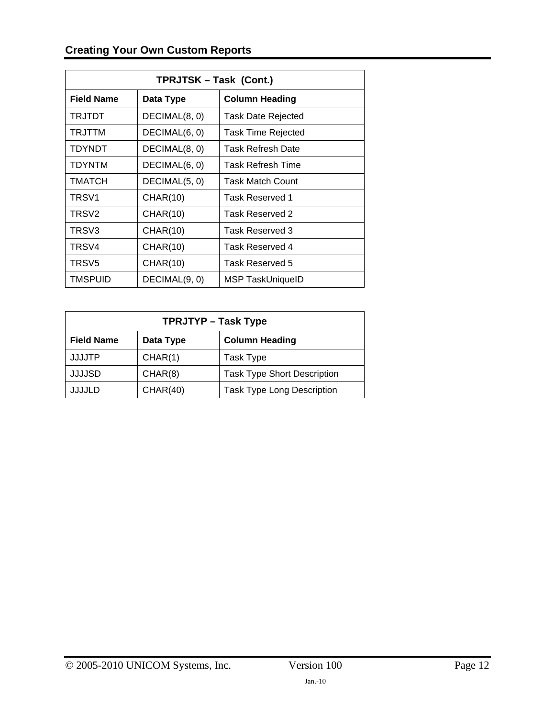| TPRJTSK - Task (Cont.) |                 |                           |
|------------------------|-----------------|---------------------------|
| <b>Field Name</b>      | Data Type       | <b>Column Heading</b>     |
| TRJTDT                 | DECIMAL(8, 0)   | Task Date Rejected        |
| <b>TRJTTM</b>          | DECIMAL(6, 0)   | <b>Task Time Rejected</b> |
| TDYNDT                 | DECIMAL(8, 0)   | Task Refresh Date         |
| <b>TDYNTM</b>          | DECIMAL(6, 0)   | Task Refresh Time         |
| TMATCH                 | DECIMAL(5, 0)   | Task Match Count          |
| TRSV <sub>1</sub>      | CHAR(10)        | <b>Task Reserved 1</b>    |
| TRSV <sub>2</sub>      | <b>CHAR(10)</b> | Task Reserved 2           |
| TRSV3                  | CHAR(10)        | Task Reserved 3           |
| TRSV4                  | <b>CHAR(10)</b> | Task Reserved 4           |
| TRSV <sub>5</sub>      | CHAR(10)        | Task Reserved 5           |
| <b>TMSPUID</b>         | DECIMAL(9, 0)   | <b>MSP TaskUniqueID</b>   |

| <b>TPRJTYP – Task Type</b> |           |                                    |
|----------------------------|-----------|------------------------------------|
| <b>Field Name</b>          | Data Type | <b>Column Heading</b>              |
| <b>JJJJTP</b>              | CHAR(1)   | Task Type                          |
| <b>JJJJSD</b>              | CHAR(8)   | <b>Task Type Short Description</b> |
| <b>JJJJLD</b>              | CHAR(40)  | <b>Task Type Long Description</b>  |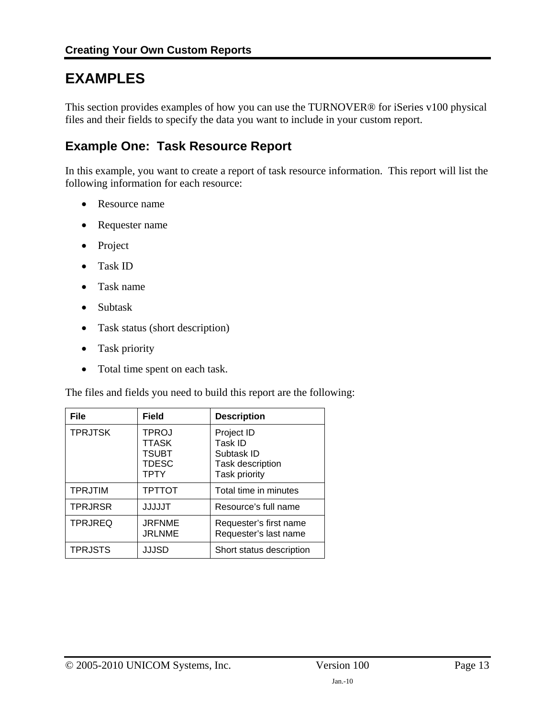### **EXAMPLES**

This section provides examples of how you can use the TURNOVER® for iSeries v100 physical files and their fields to specify the data you want to include in your custom report.

### **Example One: Task Resource Report**

In this example, you want to create a report of task resource information. This report will list the following information for each resource:

- Resource name
- Requester name
- Project
- Task ID
- Task name
- Subtask
- Task status (short description)
- Task priority
- Total time spent on each task.

The files and fields you need to build this report are the following:

| <b>File</b>    | <b>Field</b>                                                  | <b>Description</b>                                                              |
|----------------|---------------------------------------------------------------|---------------------------------------------------------------------------------|
| <b>TPRJTSK</b> | TPROJ<br><b>TTASK</b><br><b>TSUBT</b><br><b>TDESC</b><br>TPTY | Project ID<br>Task ID<br>Subtask ID<br>Task description<br><b>Task priority</b> |
| <b>TPRJTIM</b> | TPTTOT                                                        | Total time in minutes                                                           |
| <b>TPRJRSR</b> | <b>TLLLLLL</b>                                                | Resource's full name                                                            |
| <b>TPRJREQ</b> | <b>JRFNME</b><br><b>JRLNME</b>                                | Requester's first name<br>Requester's last name                                 |
| <b>TPRJSTS</b> | JJJSD                                                         | Short status description                                                        |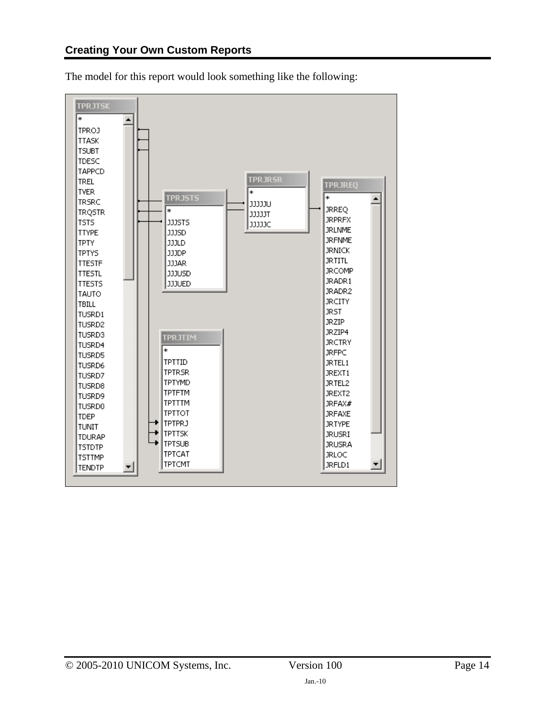

The model for this report would look something like the following: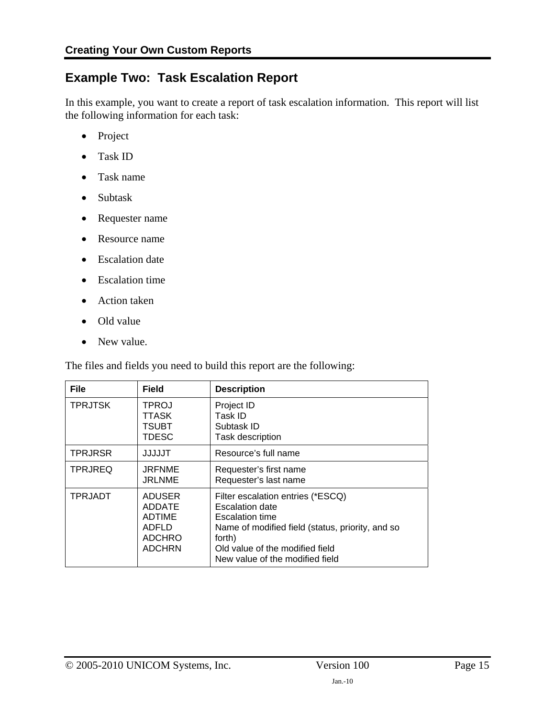#### **Example Two: Task Escalation Report**

In this example, you want to create a report of task escalation information. This report will list the following information for each task:

- Project
- Task ID
- Task name
- Subtask
- Requester name
- Resource name
- Escalation date
- Escalation time
- Action taken
- Old value
- New value.

The files and fields you need to build this report are the following:

| <b>File</b>    | <b>Field</b>                                                                               | <b>Description</b>                                                                                                                                                                                                 |
|----------------|--------------------------------------------------------------------------------------------|--------------------------------------------------------------------------------------------------------------------------------------------------------------------------------------------------------------------|
| <b>TPRJTSK</b> | <b>TPROJ</b><br>TTASK<br><b>TSUBT</b><br>TDESC                                             | Project ID<br>Task ID<br>Subtask ID<br><b>Task description</b>                                                                                                                                                     |
| <b>TPRJRSR</b> | <b>TLLLLLL</b>                                                                             | Resource's full name                                                                                                                                                                                               |
| <b>TPRJREQ</b> | <b>JRFNME</b><br><b>JRLNME</b>                                                             | Requester's first name<br>Requester's last name                                                                                                                                                                    |
| <b>TPRJADT</b> | <b>ADUSER</b><br><b>ADDATE</b><br><b>ADTIME</b><br>ADFLD<br><b>ADCHRO</b><br><b>ADCHRN</b> | Filter escalation entries (*ESCQ)<br><b>Escalation date</b><br>Escalation time<br>Name of modified field (status, priority, and so<br>forth)<br>Old value of the modified field<br>New value of the modified field |